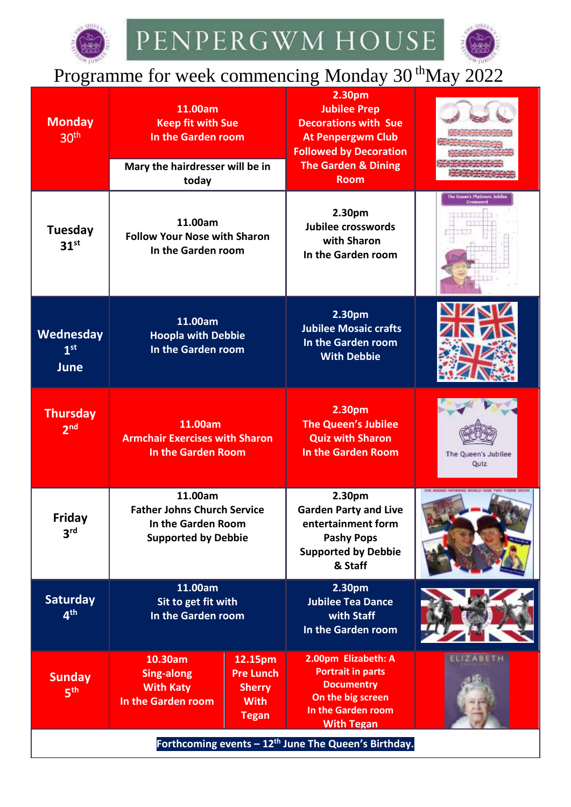



## Programme for week commencing Monday 30<sup>th</sup>May 2022

| <b>Monday</b><br>30 <sup>th</sup>                                | 11.00am<br><b>Keep fit with Sue</b><br>In the Garden room<br>Mary the hairdresser will be in<br>today |                                                                             | 2.30pm<br><b>Jubilee Prep</b><br><b>Decorations with Sue</b><br><b>At Penpergwm Club</b><br><b>Followed by Decoration</b><br><b>The Garden &amp; Dining</b><br><b>Room</b> |                                             |
|------------------------------------------------------------------|-------------------------------------------------------------------------------------------------------|-----------------------------------------------------------------------------|----------------------------------------------------------------------------------------------------------------------------------------------------------------------------|---------------------------------------------|
| Tuesday<br>31 <sup>st</sup>                                      | 11.00am<br><b>Follow Your Nose with Sharon</b><br>In the Garden room                                  |                                                                             | 2.30pm<br>Jubilee crosswords<br>with Sharon<br>In the Garden room                                                                                                          | The Queen's Platinum Jubiles<br>Crossway    |
| Wednesday<br>1 <sup>st</sup><br>June                             | 11.00am<br><b>Hoopla with Debbie</b><br>In the Garden room                                            |                                                                             | 2.30pm<br><b>Jubilee Mosaic crafts</b><br>In the Garden room<br><b>With Debbie</b>                                                                                         |                                             |
| <b>Thursday</b><br>2 <sup>nd</sup>                               | 11.00am<br><b>Armchair Exercises with Sharon</b><br><b>In the Garden Room</b>                         |                                                                             | 2.30pm<br><b>The Queen's Jubilee</b><br><b>Quiz with Sharon</b><br><b>In the Garden Room</b>                                                                               | The Queen's Jubilee<br>Quiz                 |
| <b>Friday</b><br>3 <sup>rd</sup>                                 | 11.00am<br><b>Father Johns Church Service</b><br>In the Garden Room<br><b>Supported by Debbie</b>     |                                                                             | 2.30pm<br><b>Garden Party and Live</b><br>entertainment form<br><b>Pashy Pops</b><br><b>Supported by Debbie</b><br>& Staff                                                 | THE AWARD VANRENLE WORLD WAR TWO THRANE SHO |
| <b>Saturday</b><br>4 <sup>th</sup>                               | 11.00am<br>Sit to get fit with<br>In the Garden room                                                  |                                                                             | 2.30pm<br><b>Jubilee Tea Dance</b><br>with Staff<br>In the Garden room                                                                                                     |                                             |
| <b>Sunday</b><br>5 <sup>th</sup>                                 | 10.30am<br>Sing-along<br><b>With Katy</b><br>In the Garden room                                       | 12.15pm<br><b>Pre Lunch</b><br><b>Sherry</b><br><b>With</b><br><b>Tegan</b> | 2.00pm Elizabeth: A<br><b>Portrait in parts</b><br><b>Documentry</b><br>On the big screen<br>In the Garden room<br><b>With Tegan</b>                                       | ELIZABETH                                   |
| Forthcoming events - 12 <sup>th</sup> June The Queen's Birthday. |                                                                                                       |                                                                             |                                                                                                                                                                            |                                             |